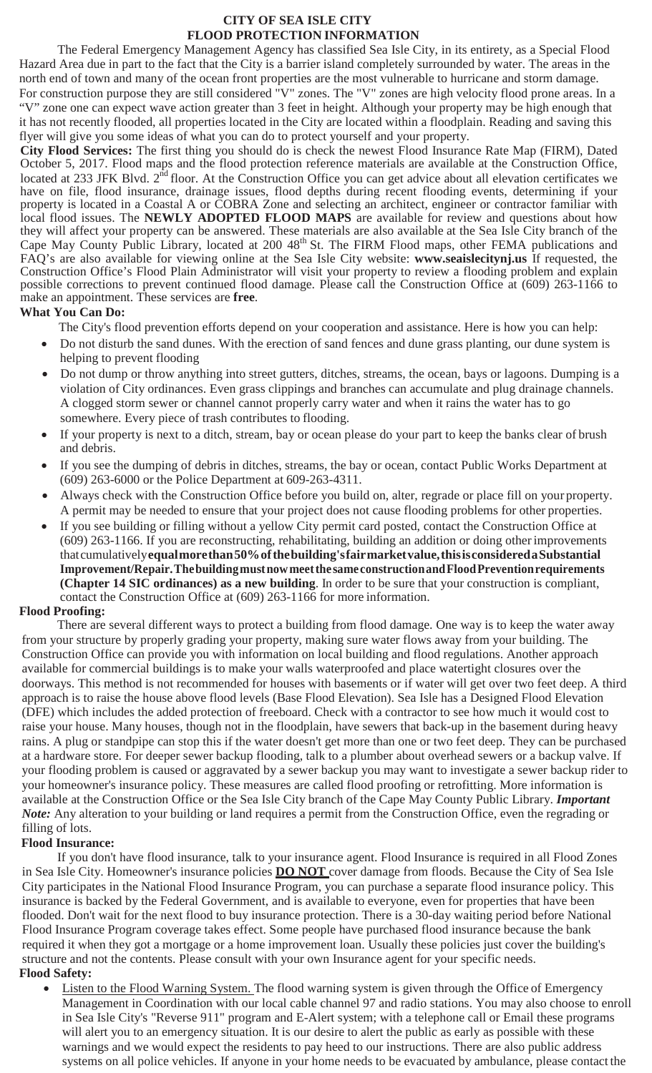#### **CITY OF SEA ISLE CITY FLOOD PROTECTION INFORMATION**

The Federal Emergency Management Agency has classified Sea Isle City, in its entirety, as a Special Flood Hazard Area due in part to the fact that the City is a barrier island completely surrounded by water. The areas in the north end of town and many of the ocean front properties are the most vulnerable to hurricane and storm damage. For construction purpose they are still considered "V" zones. The "V" zones are high velocity flood prone areas. In a "V" zone one can expect wave action greater than 3 feet in height. Although your property may be high enough that it has not recently flooded, all properties located in the City are located within a floodplain. Reading and saving this flyer will give you some ideas of what you can do to protect yourself and your property.

**City Flood Services:** The first thing you should do is check the newest Flood Insurance Rate Map (FIRM), Dated October 5, 2017. Flood maps and the flood protection reference materials are available at the Construction Office, located at 233 JFK Blvd. 2<sup>nd</sup> floor. At the Construction Office you can get advice about all elevation certificates we have on file, flood insurance, drainage issues, flood depths during recent flooding events, determining if your property is located in a Coastal A or COBRA Zone and selecting an architect, engineer or contractor familiar with local flood issues. The **NEWLY ADOPTED FLOOD MAPS** are available for review and questions about how they will affect your property can be answered. These materials are also available at the Sea Isle City branch of the Cape May County Public Library, located at 200 48<sup>th</sup> St. The FIRM Flood maps, other FEMA publications and FAQ's are also available for viewing online at the Sea Isle City website: **[www.seaislecitynj.us](http://www.seaislecitynj.us/)** If requested, the Construction Office's Flood Plain Administrator will visit your property to review a flooding problem and explain possible corrections to prevent continued flood damage. Please call the Construction Office at (609) 263-1166 to make an appointment. These services are **free**.

### **What You Can Do:**

The City's flood prevention efforts depend on your cooperation and assistance. Here is how you can help:

- Do not disturb the sand dunes. With the erection of sand fences and dune grass planting, our dune system is helping to prevent flooding
- Do not dump or throw anything into street gutters, ditches, streams, the ocean, bays or lagoons. Dumping is a violation of City ordinances. Even grass clippings and branches can accumulate and plug drainage channels. A clogged storm sewer or channel cannot properly carry water and when it rains the water has to go somewhere. Every piece of trash contributes to flooding.
- If your property is next to a ditch, stream, bay or ocean please do your part to keep the banks clear of brush and debris.
- If you see the dumping of debris in ditches, streams, the bay or ocean, contact Public Works Department at (609) 263-6000 or the Police Department at 609-263-4311.
- Always check with the Construction Office before you build on, alter, regrade or place fill on your property. A permit may be needed to ensure that your project does not cause flooding problems for other properties.
- If you see building or filling without a yellow City permit card posted, contact the Construction Office at (609) 263-1166. If you are reconstructing, rehabilitating, building an addition or doing otherimprovements thatcumulatively**equalmorethan50%ofthebuilding'sfairmarketvalue,thisisconsideredaSubstantial Improvement/Repair.Thebuildingmustnowmeetthe sameconstructionandFloodPreventionrequirements (Chapter 14 SIC ordinances) as a new building**. In order to be sure that your construction is compliant, contact the Construction Office at (609) 263-1166 for more information.

### **Flood Proofing:**

There are several different ways to protect a building from flood damage. One way is to keep the water away from your structure by properly grading your property, making sure water flows away from your building. The Construction Office can provide you with information on local building and flood regulations. Another approach available for commercial buildings is to make your walls waterproofed and place watertight closures over the doorways. This method is not recommended for houses with basements or if water will get over two feet deep. A third approach is to raise the house above flood levels (Base Flood Elevation). Sea Isle has a Designed Flood Elevation (DFE) which includes the added protection of freeboard. Check with a contractor to see how much it would cost to raise your house. Many houses, though not in the floodplain, have sewers that back-up in the basement during heavy rains. A plug or standpipe can stop this if the water doesn't get more than one or two feet deep. They can be purchased at a hardware store. For deeper sewer backup flooding, talk to a plumber about overhead sewers or a backup valve. If your flooding problem is caused or aggravated by a sewer backup you may want to investigate a sewer backup rider to your homeowner's insurance policy. These measures are called flood proofing or retrofitting. More information is available at the Construction Office or the Sea Isle City branch of the Cape May County Public Library. *Important Note:* Any alteration to your building or land requires a permit from the Construction Office, even the regrading or filling of lots.

# **Flood Insurance:**

If you don't have flood insurance, talk to your insurance agent. Flood Insurance is required in all Flood Zones in Sea Isle City. Homeowner's insurance policies **DO NOT** cover damage from floods. Because the City of Sea Isle City participates in the National Flood Insurance Program, you can purchase a separate flood insurance policy. This insurance is backed by the Federal Government, and is available to everyone, even for properties that have been flooded. Don't wait for the next flood to buy insurance protection. There is a 30-day waiting period before National Flood Insurance Program coverage takes effect. Some people have purchased flood insurance because the bank required it when they got a mortgage or a home improvement loan. Usually these policies just cover the building's structure and not the contents. Please consult with your own Insurance agent for your specific needs.

- **Flood Safety:**
	- Listen to the Flood Warning System. The flood warning system is given through the Office of Emergency Management in Coordination with our local cable channel 97 and radio stations. You may also choose to enroll in Sea Isle City's "Reverse 911" program and E-Alert system; with a telephone call or Email these programs will alert you to an emergency situation. It is our desire to alert the public as early as possible with these warnings and we would expect the residents to pay heed to our instructions. There are also public address systems on all police vehicles. If anyone in your home needs to be evacuated by ambulance, please contact the